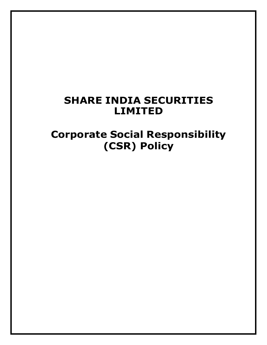# **SHARE INDIA SECURITIES LIMITED**

**Corporate Social Responsibility (CSR) Policy**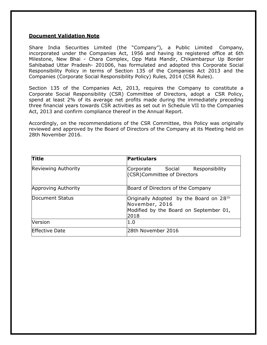#### **Document Validation Note**

Share India Securities Limited (the "Company"), a Public Limited Company, incorporated under the Companies Act, 1956 and having its registered office at 6th Milestone, New Bhai - Chara Complex, Opp Mata Mandir, Chikambarpur Up Border Sahibabad Uttar Pradesh- 201006, has formulated and adopted this Corporate Social Responsibility Policy in terms of Section 135 of the Companies Act 2013 and the Companies (Corporate Social Responsibility Policy) Rules, 2014 (CSR Rules).

Section 135 of the Companies Act, 2013, requires the Company to constitute a Corporate Social Responsibility (CSR) Committee of Directors, adopt a CSR Policy, spend at least 2% of its average net profits made during the immediately preceding three financial years towards CSR activities as set out in Schedule VII to the Companies Act, 2013 and confirm compliance thereof in the Annual Report.

Accordingly, on the recommendations of the CSR Committee, this Policy was originally reviewed and approved by the Board of Directors of the Company at its Meeting held on 28th November 2016.

| <b>Title</b>               | <b>Particulars</b>                                                                                                      |  |
|----------------------------|-------------------------------------------------------------------------------------------------------------------------|--|
| <b>Reviewing Authority</b> | Responsibility<br>Corporate Social<br>(CSR)Committee of Directors                                                       |  |
| Approving Authority        | Board of Directors of the Company                                                                                       |  |
| Document Status            | Originally Adopted by the Board on 28 <sup>th</sup><br>November, 2016<br>Modified by the Board on September 01,<br>2018 |  |
| Version                    | 1.0                                                                                                                     |  |
| <b>Effective Date</b>      | 28th November 2016                                                                                                      |  |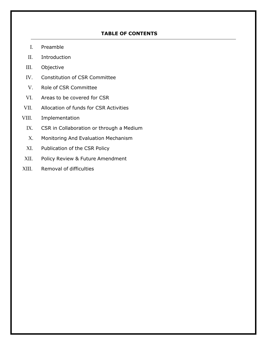### **TABLE OF CONTENTS**

- I. Preamble
- II. Introduction
- III. Objective
- IV. Constitution of CSR Committee
- V. Role of CSR Committee
- VI. Areas to be covered for CSR
- VII. Allocation of funds for CSR Activities
- VIII. Implementation
	- IX. CSR in Collaboration or through a Medium
	- X. Monitoring And Evaluation Mechanism
	- XI. Publication of the CSR Policy
- XII. Policy Review & Future Amendment
- XIII. Removal of difficulties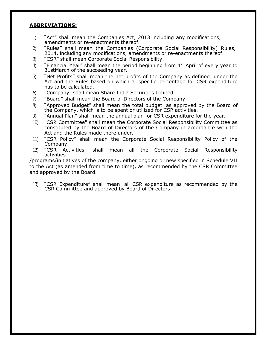#### **ABBREVIATIONS:**

- 1) "Act" shall mean the Companies Act, 2013 including any modifications, amendments or re-enactments thereof.
- 2) "Rules" shall mean the Companies (Corporate Social Responsibility) Rules, 2014, including any modifications, amendments or re-enactments thereof.
- 3) "CSR" shall mean Corporate Social Responsibility.
- 4) "Financial Year" shall mean the period beginning from  $1<sup>st</sup>$  April of every year to 31stMarch of the succeeding year.
- 5) "Net Profits" shall mean the net profits of the Company as defined under the Act and the Rules based on which a specific percentage for CSR expenditure has to be calculated.
- 6) "Company" shall mean Share India Securities Limited.
- 7) "Board" shall mean the Board of Directors of the Company.
- 8) "Approved Budget" shall mean the total budget as approved by the Board of the Company, which is to be spent or utilized for CSR activities.
- 9) "Annual Plan" shall mean the annual plan for CSR expenditure for the year.
- 10) "CSR Committee" shall mean the Corporate Social Responsibility Committee as constituted by the Board of Directors of the Company in accordance with the Act and the Rules made there under.
- 11) "CSR Policy" shall mean the Corporate Social Responsibility Policy of the Company.
- 12) "CSR Activities" shall mean all the Corporate Social Responsibility activities

/programs/initiatives of the company, either ongoing or new specified in Schedule VII to the Act (as amended from time to time), as recommended by the CSR Committee and approved by the Board.

13) "CSR Expenditure" shall mean all CSR expenditure as recommended by the CSR Committee and approved by Board of Directors.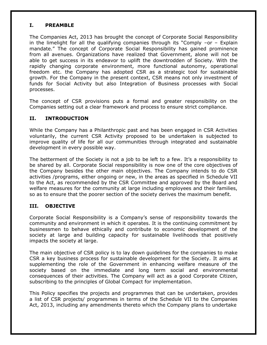## **I. PREAMBLE**

The Companies Act, 2013 has brought the concept of Corporate Social Responsibility in the limelight for all the qualifying companies through its "Comply –or – Explain mandate." The concept of Corporate Social Responsibility has gained prominence from all avenues. Organizations have realized that Government, alone will not be able to get success in its endeavor to uplift the downtrodden of Society. With the rapidly changing corporate environment, more functional autonomy, operational freedom etc. the Company has adopted CSR as a strategic tool for sustainable growth. For the Company in the present context, CSR means not only investment of funds for Social Activity but also Integration of Business processes with Social processes.

The concept of CSR provisions puts a formal and greater responsibility on the Companies setting out a clear framework and process to ensure strict compliance.

## **II. INTRODUCTION**

While the Company has a Philanthropic past and has been engaged in CSR Activities voluntarily, the current CSR Activity proposed to be undertaken is subjected to improve quality of life for all our communities through integrated and sustainable development in every possible way.

The betterment of the Society is not a job to be left to a few. It's a responsibility to be shared by all. Corporate Social responsibility is now one of the core objectives of the Company besides the other main objectives. The Company intends to do CSR activities /programs, either ongoing or new, in the areas as specified in Schedule VII to the Act, as recommended by the CSR Committee and approved by the Board and welfare measures for the community at large including employees and their families, so as to ensure that the poorer section of the society derives the maximum benefit.

# **III. OBJECTIVE**

Corporate Social Responsibility is a Company's sense of responsibility towards the community and environment in which it operates. It is the continuing commitment by businessmen to behave ethically and contribute to economic development of the society at large and building capacity for sustainable livelihoods that positively impacts the society at large.

The main objective of CSR policy is to lay down guidelines for the companies to make CSR a key business process for sustainable development for the Society. It aims at supplementing the role of the Government in enhancing welfare measure of the society based on the immediate and long term social and environmental consequences of their activities. The Company will act as a good Corporate Citizen, subscribing to the principles of Global Compact for implementation.

This Policy specifies the projects and programmes that can be undertaken, provides a list of CSR projects/ programmes in terms of the Schedule VII to the Companies Act, 2013, including any amendments thereto which the Company plans to undertake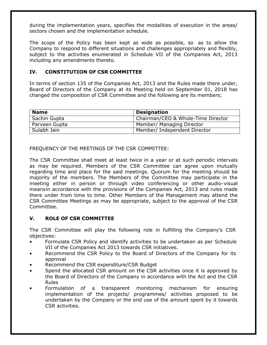during the implementation years, specifies the modalities of execution in the areas/ sectors chosen and the implementation schedule.

The scope of the Policy has been kept as wide as possible, so as to allow the Company to respond to different situations and challenges appropriately and flexibly, subject to the activities enumerated in Schedule VII of the Companies Act, 2013 including any amendments thereto.

## **IV. CONSTITUTION OF CSR COMMITTEE**

In terms of section 135 of the Companies Act, 2013 and the Rules made there under, Board of Directors of the Company at its Meeting held on September 01, 2018 has changed the composition of CSR Committee and the following are its members;

| <b>Name</b>   | <b>Designation</b>                 |
|---------------|------------------------------------|
| Sachin Gupta  | Chairman/CEO & Whole-Time Director |
| Parveen Gupta | Member/ Managing Director          |
| Sulabh Jain   | Member/ Independent Director       |

FREQUENCY OF THE MEETINGS OF THE CSR COMMITTEE:

The CSR Committee shall meet at least twice in a year or at such periodic intervals as may be required. Members of the CSR Committee can agree upon mutually regarding time and place for the said meetings. Quorum for the meeting should be majority of the members. The Members of the Committee may participate in the meeting either in person or through video conferencing or other audio-visual meansin accordance with the provisions of the Companies Act, 2013 and rules made there under from time to time. Other Members of the Management may attend the CSR Committee Meetings as may be appropriate, subject to the approval of the CSR Committee.

#### **V. ROLE OF CSR COMMITTEE**

The CSR Committee will play the following role in fulfilling the Company's CSR objectives:

- Formulate CSR Policy and identify activities to be undertaken as per Schedule VII of the Companies Act 2013 towards CSR initiatives.
- Recommend the CSR Policy to the Board of Directors of the Company for its approval
- Recommend the CSR expenditure/CSR Budget
- Spend the allocated CSR amount on the CSR activities once it is approved by the Board of Directors of the Company in accordance with the Act and the CSR Rules
- Formulation of a transparent monitoring mechanism for ensuring implementation of the projects/ programmes/ activities proposed to be undertaken by the Company or the end use of the amount spent by it towards CSR activities.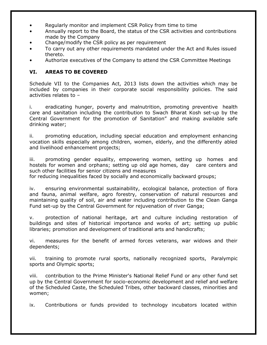- Regularly monitor and implement CSR Policy from time to time
- Annually report to the Board, the status of the CSR activities and contributions made by the Company
- Change/modify the CSR policy as per requirement
- To carry out any other requirements mandated under the Act and Rules issued thereto.
- Authorize executives of the Company to attend the CSR Committee Meetings

## **VI. AREAS TO BE COVERED**

Schedule VII to the Companies Act, 2013 lists down the activities which may be included by companies in their corporate social responsibility policies. The said activities relates to –

i. eradicating hunger, poverty and malnutrition, promoting preventive health care and sanitation including the contribution to Swach Bharat Kosh set-up by the Central Government for the promotion of Sanitation" and making available safe drinking water;

ii. promoting education, including special education and employment enhancing vocation skills especially among children, women, elderly, and the differently abled and livelihood enhancement projects;

iii. promoting gender equality, empowering women, setting up homes and hostels for women and orphans; setting up old age homes, day care centers and such other facilities for senior citizens and measures

for reducing inequalities faced by socially and economically backward groups;

iv. ensuring environmental sustainability, ecological balance, protection of flora and fauna, animal welfare, agro forestry, conservation of natural resources and maintaining quality of soil, air and water including contribution to the Clean Ganga Fund set-up by the Central Government for rejuvenation of river Ganga;

v. protection of national heritage, art and culture including restoration of buildings and sites of historical importance and works of art; setting up public libraries; promotion and development of traditional arts and handicrafts;

vi. measures for the benefit of armed forces veterans, war widows and their dependents;

vii. training to promote rural sports, nationally recognized sports, Paralympic sports and Olympic sports;

viii. contribution to the Prime Minister's National Relief Fund or any other fund set up by the Central Government for socio-economic development and relief and welfare of the Scheduled Caste, the Scheduled Tribes, other backward classes, minorities and women;

ix. Contributions or funds provided to technology incubators located within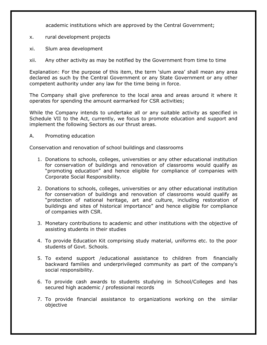academic institutions which are approved by the Central Government;

- x. rural development projects
- xi. Slum area development
- xii. Any other activity as may be notified by the Government from time to time

Explanation: For the purpose of this item, the term 'slum area' shall mean any area declared as such by the Central Government or any State Government or any other competent authority under any law for the time being in force.

The Company shall give preference to the local area and areas around it where it operates for spending the amount earmarked for CSR activities;

While the Company intends to undertake all or any suitable activity as specified in Schedule VII to the Act, currently, we focus to promote education and support and implement the following Sectors as our thrust areas.

A. Promoting education

Conservation and renovation of school buildings and classrooms

- 1. Donations to schools, colleges, universities or any other educational institution for conservation of buildings and renovation of classrooms would qualify as "promoting education" and hence eligible for compliance of companies with Corporate Social Responsibility.
- 2. Donations to schools, colleges, universities or any other educational institution for conservation of buildings and renovation of classrooms would qualify as "protection of national heritage, art and culture, including restoration of buildings and sites of historical importance" and hence eligible for compliance of companies with CSR.
- 3. Monetary contributions to academic and other institutions with the objective of assisting students in their studies
- 4. To provide Education Kit comprising study material, uniforms etc. to the poor students of Govt. Schools.
- 5. To extend support /educational assistance to children from financially backward families and underprivileged community as part of the company's social responsibility.
- 6. To provide cash awards to students studying in School/Colleges and has secured high academic / professional records
- 7. To provide financial assistance to organizations working on the similar objective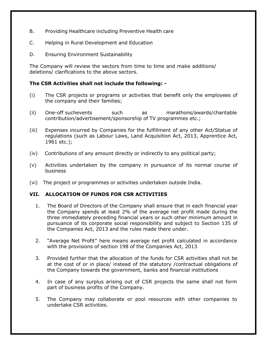- B. Providing Healthcare including Preventive Health care
- C. Helping in Rural Development and Education
- D. Ensuring Environment Sustainability

The Company will review the sectors from time to time and make additions/ deletions/ clarifications to the above sectors.

# **The CSR Activities shall not include the following: -**

- (i) The CSR projects or programs or activities that benefit only the employees of the company and their families;
- (ii) One-off suchevents such as marathons/awards/charitable contribution/advertisement/sponsorship of TV programmes etc.;
- (iii) Expenses incurred by Companies for the fulfillment of any other Act/Statue of regulations (such as Labour Laws, Land Acquisition Act, 2013, Apprentice Act, 1961 etc.);
- (iv) Contributions of any amount directly or indirectly to any political party;
- (v) Activities undertaken by the company in pursuance of its normal course of business
- (vi) The project or programmes or activities undertaken outside India.

#### **VII. ALLOCATION OF FUNDS FOR CSR ACTIVITIES**

- 1. The Board of Directors of the Company shall ensure that in each financial year the Company spends at least 2% of the average net profit made during the three immediately preceding financial years or such other minimum amount in pursuance of its corporate social responsibility and subject to Section 135 of the Companies Act, 2013 and the rules made there under.
- 2. "Average Net Profit" here means average net profit calculated in accordance with the provisions of section 198 of the Companies Act, 2013
- 3. Provided further that the allocation of the funds for CSR activities shall not be at the cost of or in place/ instead of the statutory /contractual obligations of the Company towards the government, banks and financial institutions
- 4. In case of any surplus arising out of CSR projects the same shall not form part of business profits of the Company.
- 5. The Company may collaborate or pool resources with other companies to undertake CSR activities.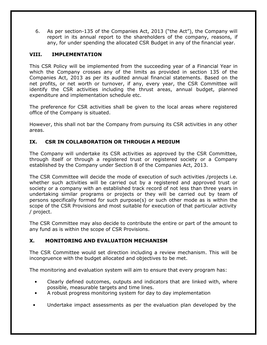6. As per section-135 of the Companies Act, 2013 ("the Act"), the Company will report in its annual report to the shareholders of the company, reasons, if any, for under spending the allocated CSR Budget in any of the financial year.

### **VIII. IMPLEMENTATION**

This CSR Policy will be implemented from the succeeding year of a Financial Year in which the Company crosses any of the limits as provided in section 135 of the Companies Act, 2013 as per its audited annual financial statements. Based on the net profits, or net worth or turnover, if any, every year, the CSR Committee will identify the CSR activities including the thrust areas, annual budget, planned expenditure and implementation schedule etc.

The preference for CSR activities shall be given to the local areas where registered office of the Company is situated.

However, this shall not bar the Company from pursuing its CSR activities in any other areas.

# **IX. CSR IN COLLABORATION OR THROUGH A MEDIUM**

The Company will undertake its CSR activities as approved by the CSR Committee, through itself or through a registered trust or registered society or a Company established by the Company under Section 8 of the Companies Act, 2013.

The CSR Committee will decide the mode of execution of such activities /projects i.e. whether such activities will be carried out by a registered and approved trust or society or a company with an established track record of not less than three years in undertaking similar programs or projects or they will be carried out by team of persons specifically formed for such purpose(s) or such other mode as is within the scope of the CSR Provisions and most suitable for execution of that particular activity / project.

The CSR Committee may also decide to contribute the entire or part of the amount to any fund as is within the scope of CSR Provisions.

# **X. MONITORING AND EVALUATION MECHANISM**

The CSR Committee would set direction including a review mechanism. This will be incongruence with the budget allocated and objectives to be met.

The monitoring and evaluation system will aim to ensure that every program has:

- Clearly defined outcomes, outputs and indicators that are linked with, where possible, measurable targets and time lines.
- A robust progress monitoring system for day to day implementation
- Undertake impact assessments as per the evaluation plan developed by the